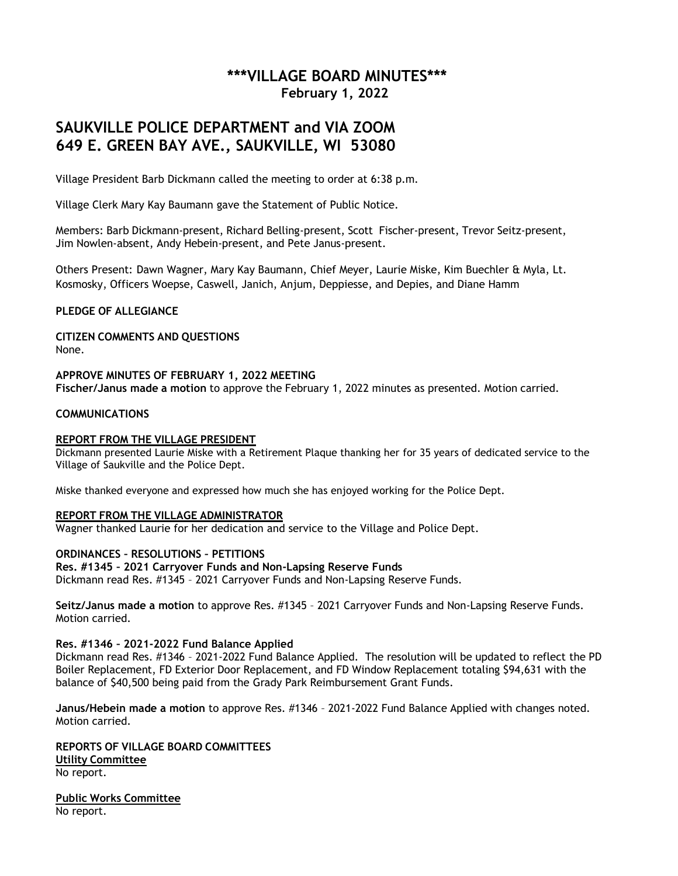# **\*\*\*VILLAGE BOARD MINUTES\*\*\* February 1, 2022**

# **SAUKVILLE POLICE DEPARTMENT and VIA ZOOM 649 E. GREEN BAY AVE., SAUKVILLE, WI 53080**

Village President Barb Dickmann called the meeting to order at 6:38 p.m.

Village Clerk Mary Kay Baumann gave the Statement of Public Notice.

Members: Barb Dickmann-present, Richard Belling-present, Scott Fischer-present, Trevor Seitz-present, Jim Nowlen-absent, Andy Hebein-present, and Pete Janus-present.

Others Present: Dawn Wagner, Mary Kay Baumann, Chief Meyer, Laurie Miske, Kim Buechler & Myla, Lt. Kosmosky, Officers Woepse, Caswell, Janich, Anjum, Deppiesse, and Depies, and Diane Hamm

### **PLEDGE OF ALLEGIANCE**

**CITIZEN COMMENTS AND QUESTIONS** None.

**APPROVE MINUTES OF FEBRUARY 1, 2022 MEETING Fischer/Janus made a motion** to approve the February 1, 2022 minutes as presented. Motion carried.

### **COMMUNICATIONS**

#### **REPORT FROM THE VILLAGE PRESIDENT**

Dickmann presented Laurie Miske with a Retirement Plaque thanking her for 35 years of dedicated service to the Village of Saukville and the Police Dept.

Miske thanked everyone and expressed how much she has enjoyed working for the Police Dept.

#### **REPORT FROM THE VILLAGE ADMINISTRATOR**

Wagner thanked Laurie for her dedication and service to the Village and Police Dept.

#### **ORDINANCES – RESOLUTIONS – PETITIONS**

#### **Res. #1345 – 2021 Carryover Funds and Non-Lapsing Reserve Funds**

Dickmann read Res. #1345 – 2021 Carryover Funds and Non-Lapsing Reserve Funds.

**Seitz/Janus made a motion** to approve Res. #1345 – 2021 Carryover Funds and Non-Lapsing Reserve Funds. Motion carried.

#### **Res. #1346 – 2021-2022 Fund Balance Applied**

Dickmann read Res. #1346 – 2021-2022 Fund Balance Applied. The resolution will be updated to reflect the PD Boiler Replacement, FD Exterior Door Replacement, and FD Window Replacement totaling \$94,631 with the balance of \$40,500 being paid from the Grady Park Reimbursement Grant Funds.

**Janus/Hebein made a motion** to approve Res. #1346 – 2021-2022 Fund Balance Applied with changes noted. Motion carried.

**REPORTS OF VILLAGE BOARD COMMITTEES Utility Committee** No report.

**Public Works Committee** No report.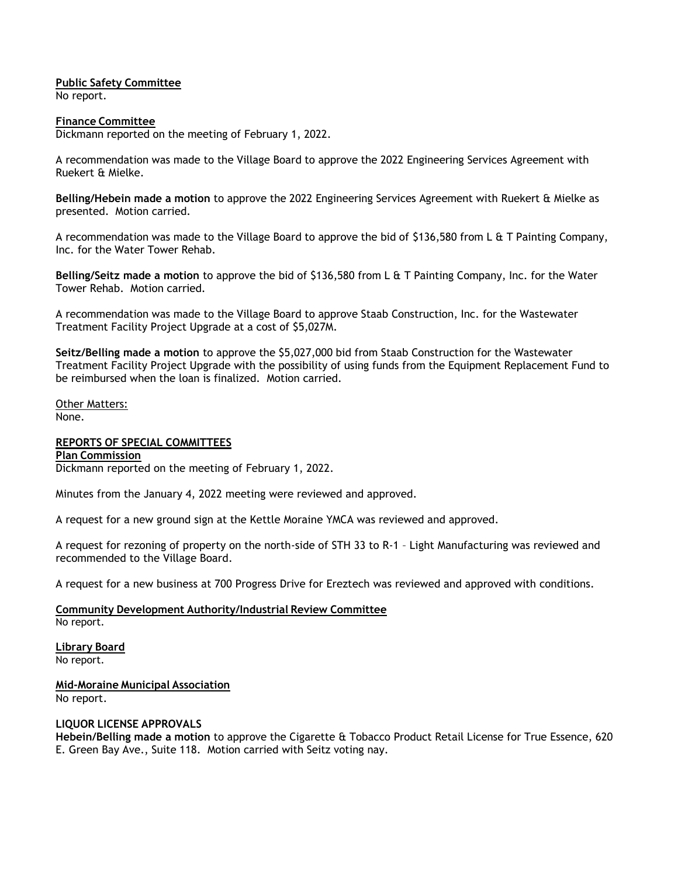# **Public Safety Committee**

No report.

### **Finance Committee**

Dickmann reported on the meeting of February 1, 2022.

A recommendation was made to the Village Board to approve the 2022 Engineering Services Agreement with Ruekert & Mielke.

**Belling/Hebein made a motion** to approve the 2022 Engineering Services Agreement with Ruekert & Mielke as presented. Motion carried.

A recommendation was made to the Village Board to approve the bid of \$136,580 from L & T Painting Company, Inc. for the Water Tower Rehab.

**Belling/Seitz made a motion** to approve the bid of \$136,580 from L & T Painting Company, Inc. for the Water Tower Rehab. Motion carried.

A recommendation was made to the Village Board to approve Staab Construction, Inc. for the Wastewater Treatment Facility Project Upgrade at a cost of \$5,027M.

**Seitz/Belling made a motion** to approve the \$5,027,000 bid from Staab Construction for the Wastewater Treatment Facility Project Upgrade with the possibility of using funds from the Equipment Replacement Fund to be reimbursed when the loan is finalized. Motion carried.

Other Matters: None.

## **REPORTS OF SPECIAL COMMITTEES**

**Plan Commission** Dickmann reported on the meeting of February 1, 2022.

Minutes from the January 4, 2022 meeting were reviewed and approved.

A request for a new ground sign at the Kettle Moraine YMCA was reviewed and approved.

A request for rezoning of property on the north-side of STH 33 to R-1 – Light Manufacturing was reviewed and recommended to the Village Board.

A request for a new business at 700 Progress Drive for Ereztech was reviewed and approved with conditions.

**Community Development Authority/Industrial Review Committee** No report.

**Library Board**

No report.

**Mid-Moraine Municipal Association** No report.

## **LIQUOR LICENSE APPROVALS**

**Hebein/Belling made a motion** to approve the Cigarette & Tobacco Product Retail License for True Essence, 620 E. Green Bay Ave., Suite 118. Motion carried with Seitz voting nay.